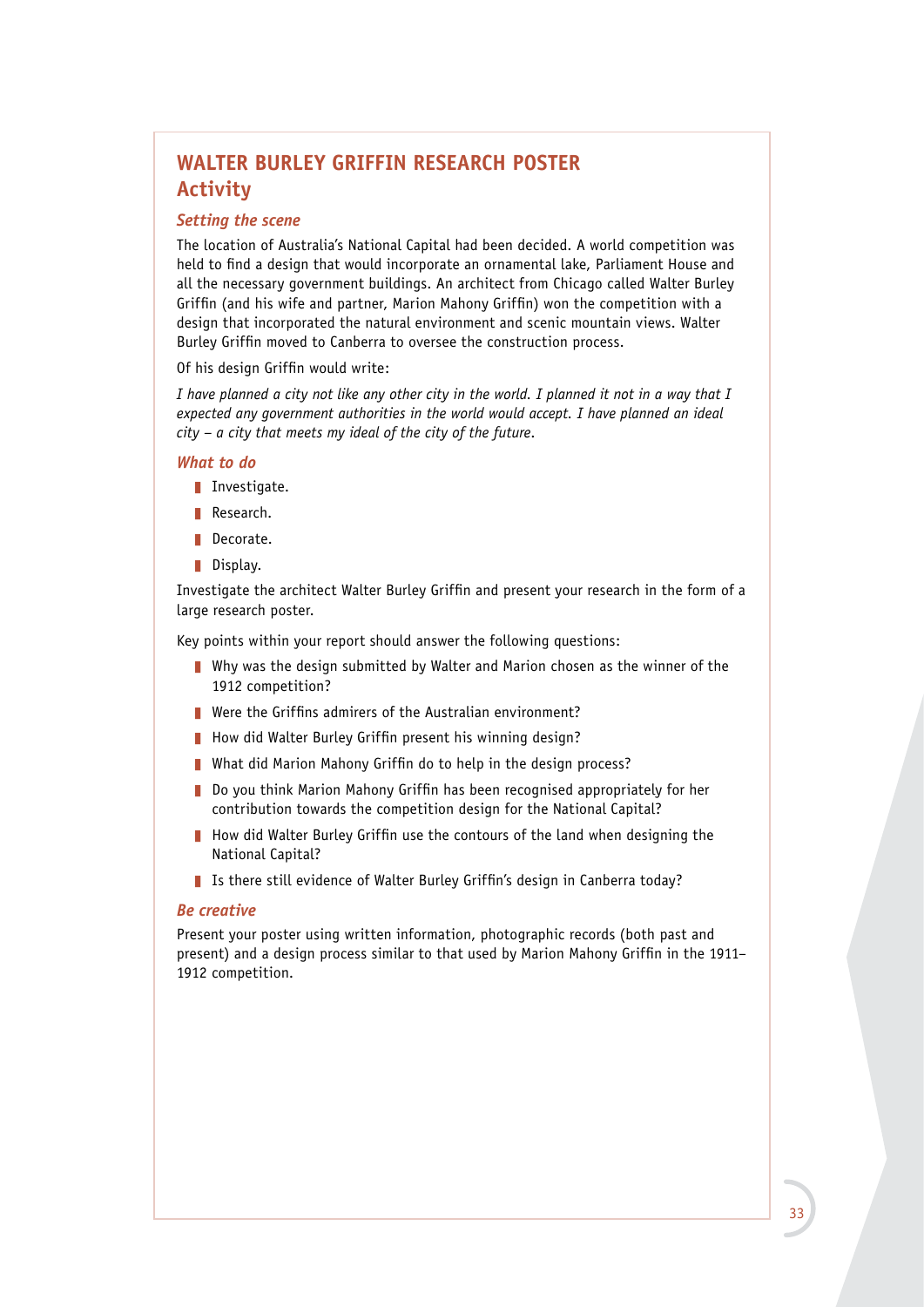# **WALTER BURLEY GRIFFIN RESEARCH POSTER Activity**

#### *Setting the scene*

The location of Australia's National Capital had been decided. A world competition was held to find a design that would incorporate an ornamental lake, Parliament House and all the necessary government buildings. An architect from Chicago called Walter Burley Griffin (and his wife and partner, Marion Mahony Griffin) won the competition with a design that incorporated the natural environment and scenic mountain views. Walter Burley Griffin moved to Canberra to oversee the construction process.

#### Of his design Griffin would write:

*I have planned a city not like any other city in the world. I planned it not in a way that I expected any government authorities in the world would accept. I have planned an ideal city – a city that meets my ideal of the city of the future*.

#### *What to do*

- **I** Investigate.
- Research.
- Decorate.
- $\blacksquare$  Display.

Investigate the architect Walter Burley Griffin and present your research in the form of a large research poster.

Key points within your report should answer the following questions:

- $\blacksquare$  Why was the design submitted by Walter and Marion chosen as the winner of the 1912 competition?
- $\blacksquare$  Were the Griffins admirers of the Australian environment?
- How did Walter Burley Griffin present his winning design?
- **Net did Marion Mahony Griffin do to help in the design process?**
- Do you think Marion Mahony Griffin has been recognised appropriately for her contribution towards the competition design for the National Capital?
- $\blacksquare$  How did Walter Burley Griffin use the contours of the land when designing the National Capital?
- I Is there still evidence of Walter Burley Griffin's design in Canberra today?

#### *Be creative*

Present your poster using written information, photographic records (both past and present) and a design process similar to that used by Marion Mahony Griffin in the 1911– 1912 competition.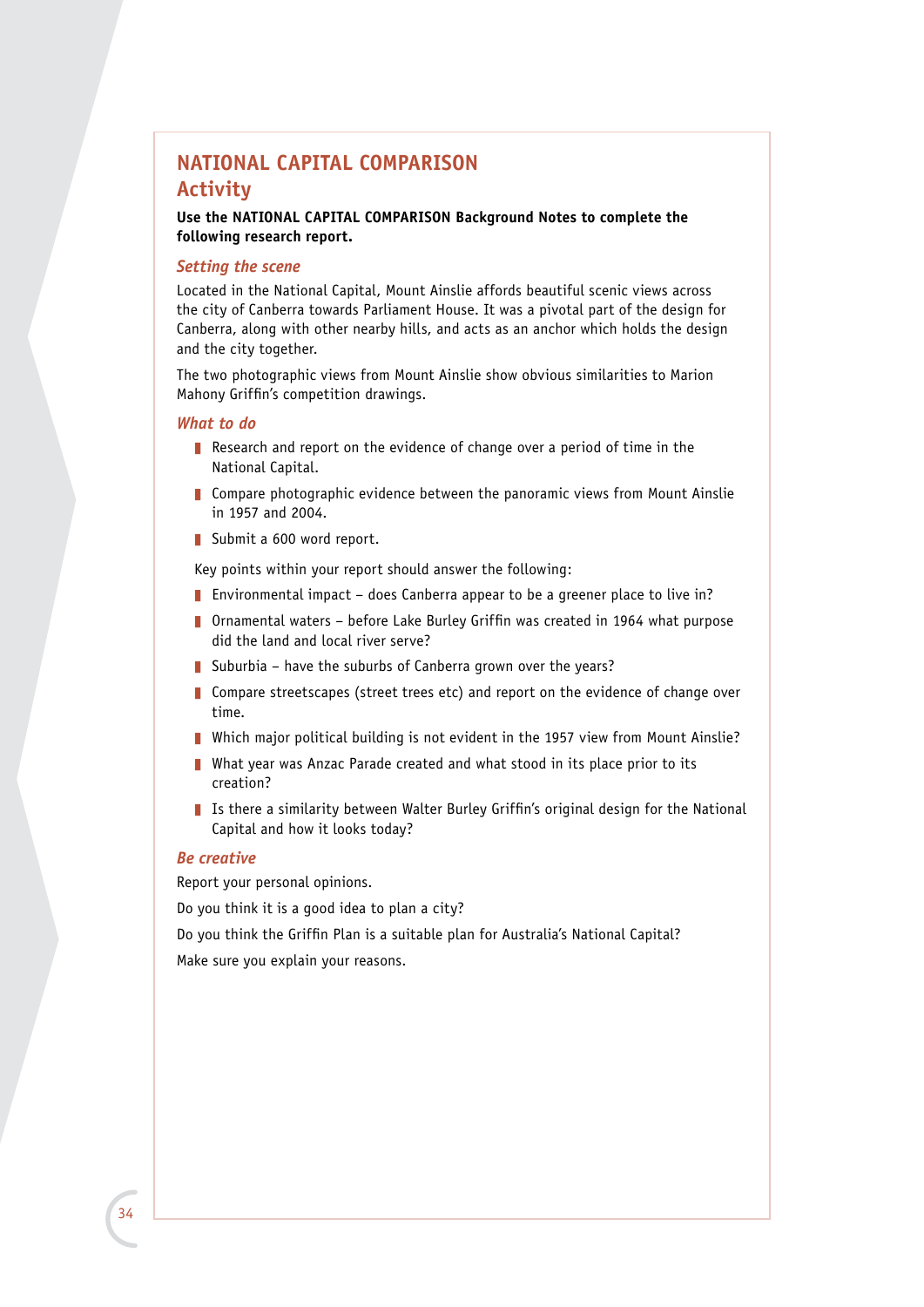## **NATIONAL CAPITAL COMPARISON Activity**

**Use the NATIONAL CAPITAL COMPARISON Background Notes to complete the following research report.**

### *Setting the scene*

Located in the National Capital, Mount Ainslie affords beautiful scenic views across the city of Canberra towards Parliament House. It was a pivotal part of the design for Canberra, along with other nearby hills, and acts as an anchor which holds the design and the city together.

The two photographic views from Mount Ainslie show obvious similarities to Marion Mahony Griffin's competition drawings.

#### *What to do*

- Research and report on the evidence of change over a period of time in the National Capital.
- $\blacksquare$  Compare photographic evidence between the panoramic views from Mount Ainslie in 1957 and 2004.
- Submit a  $600$  word report.

Key points within your report should answer the following:

- **Environmental impact does Canberra appear to be a greener place to live in?**
- **D** Ornamental waters before Lake Burley Griffin was created in 1964 what purpose did the land and local river serve?
- Suburbia have the suburbs of Canberra grown over the years?
- **Compare streetscapes (street trees etc) and report on the evidence of change over** time.
- **Nich major political building is not evident in the 1957 view from Mount Ainslie?**
- What year was Anzac Parade created and what stood in its place prior to its creation?
- I Is there a similarity between Walter Burley Griffin's original design for the National Capital and how it looks today?

#### *Be creative*

Report your personal opinions.

Do you think it is a good idea to plan a city?

Do you think the Griffin Plan is a suitable plan for Australia's National Capital?

Make sure you explain your reasons.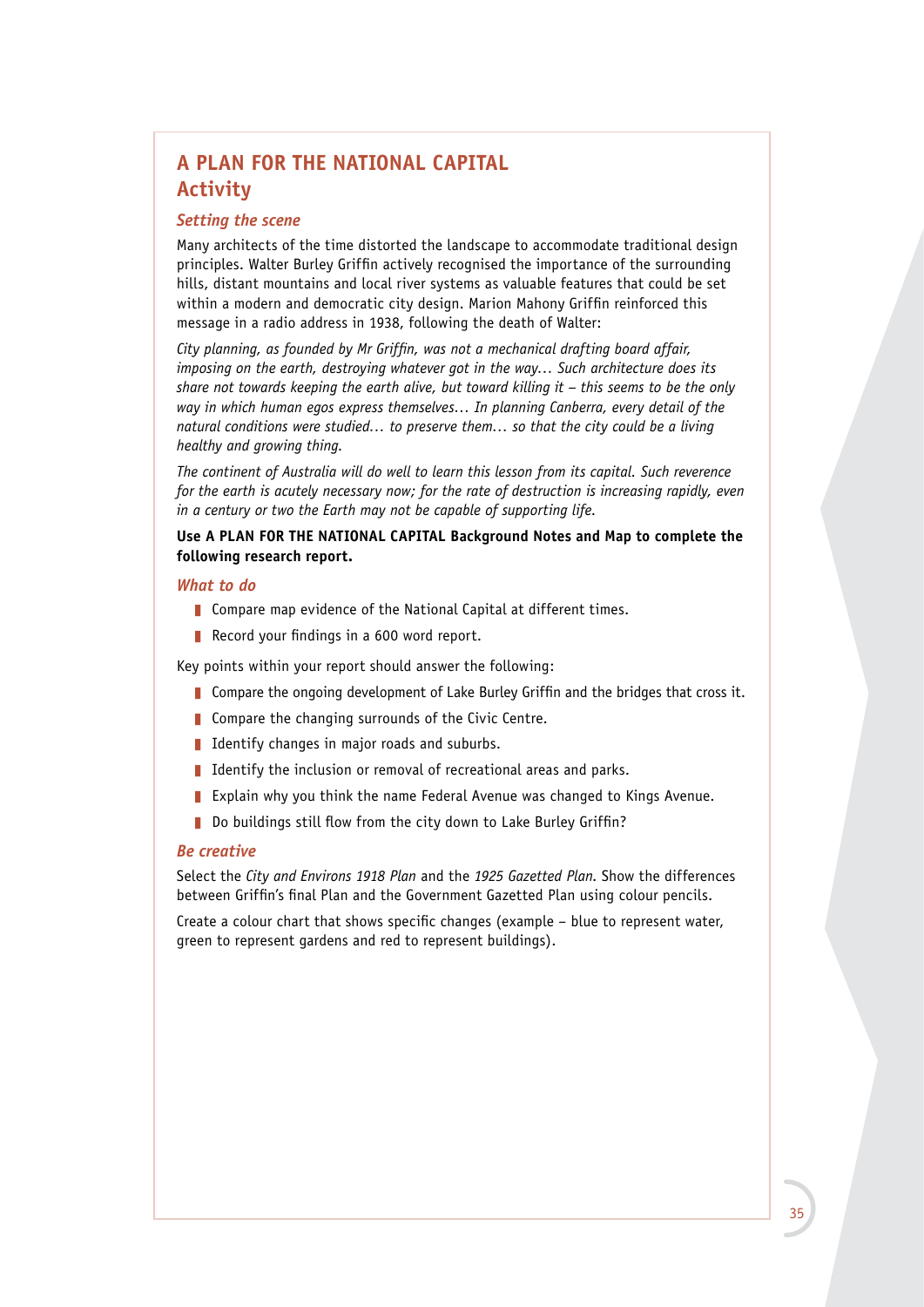# **A PLAN FOR THE NATIONAL CAPITAL Activity**

### *Setting the scene*

Many architects of the time distorted the landscape to accommodate traditional design principles. Walter Burley Griffin actively recognised the importance of the surrounding hills, distant mountains and local river systems as valuable features that could be set within a modern and democratic city design. Marion Mahony Griffin reinforced this message in a radio address in 1938, following the death of Walter:

*City planning, as founded by Mr Griffin, was not a mechanical drafting board affair, imposing on the earth, destroying whatever got in the way… Such architecture does its share not towards keeping the earth alive, but toward killing it – this seems to be the only way in which human egos express themselves… In planning Canberra, every detail of the natural conditions were studied… to preserve them… so that the city could be a living healthy and growing thing.*

*The continent of Australia will do well to learn this lesson from its capital. Such reverence for the earth is acutely necessary now; for the rate of destruction is increasing rapidly, even in a century or two the Earth may not be capable of supporting life.*

## **Use A PLAN FOR THE NATIONAL CAPITAL Background Notes and Map to complete the following research report.**

### *What to do*

- Compare map evidence of the National Capital at different times.
- Record your findings in a 600 word report.

Key points within your report should answer the following:

- Compare the ongoing development of Lake Burley Griffin and the bridges that cross it.
- $\blacksquare$  Compare the changing surrounds of the Civic Centre.
- I Identify changes in major roads and suburbs.
- I Identify the inclusion or removal of recreational areas and parks.
- Explain why you think the name Federal Avenue was changed to Kings Avenue.
- Do buildings still flow from the city down to Lake Burley Griffin?

#### *Be creative*

Select the *City and Environs 1918 Plan* and the *1925 Gazetted Plan*. Show the differences between Griffin's final Plan and the Government Gazetted Plan using colour pencils.

Create a colour chart that shows specific changes (example – blue to represent water, green to represent gardens and red to represent buildings).